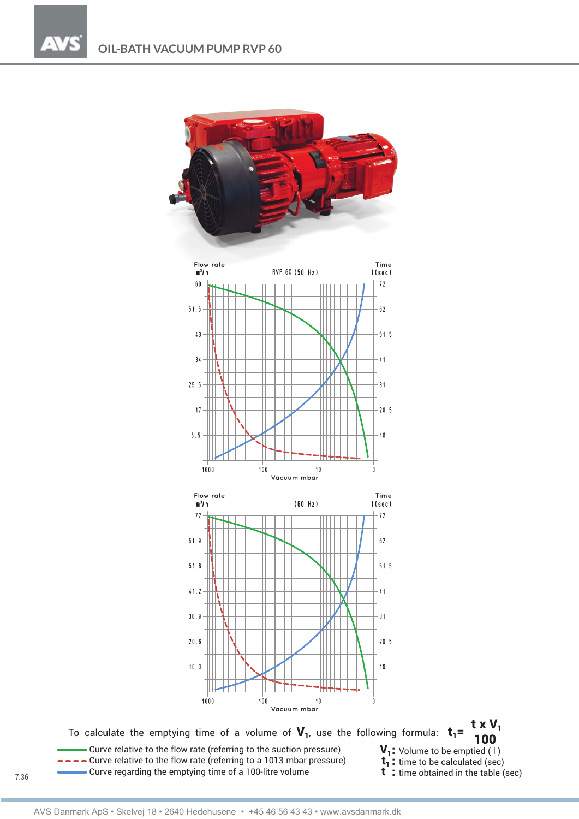

To calculate the emptying time of a volume of  $V_1$ , use the following formula:  $t_1 = -$ 

Curve relative to the flow rate (referring to the suction pressure)  $V_1$ : Volume to be emptied (1)<br>  $\rightarrow$   $\rightarrow$  Curve relative to the flow rate (referring to a 1013 mbar pressure)  $t_1$ : time to be calculated (sec)<br>
Curve  $\bullet$  Curve regarding the emptying time of a 100-litre volume

$$
1: Volume to be emptied (1)
$$

- 
- 

t x V<sub>1</sub> 100